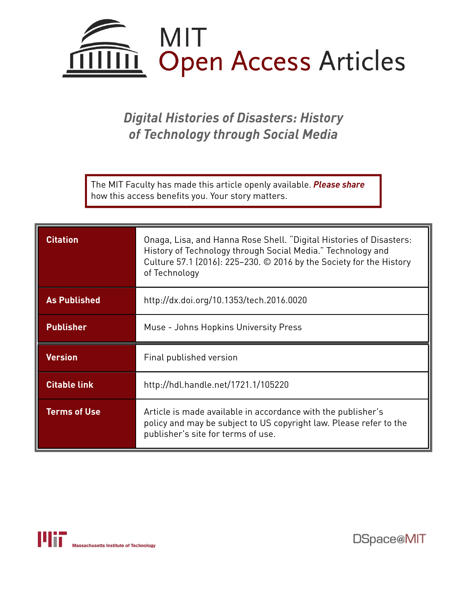

*Digital Histories of Disasters: History of Technology through Social Media*

The MIT Faculty has made this article openly available. *[Please](https://libraries.mit.edu/forms/dspace-oa-articles.html) share* how this access benefits you. Your story matters.

| <b>Citation</b>     | Onaga, Lisa, and Hanna Rose Shell. "Digital Histories of Disasters:<br>History of Technology through Social Media." Technology and<br>Culture 57.1 (2016): 225-230. © 2016 by the Society for the History<br>of Technology |
|---------------------|----------------------------------------------------------------------------------------------------------------------------------------------------------------------------------------------------------------------------|
| <b>As Published</b> | http://dx.doi.org/10.1353/tech.2016.0020                                                                                                                                                                                   |
| <b>Publisher</b>    | Muse - Johns Hopkins University Press                                                                                                                                                                                      |
| <b>Version</b>      | Final published version                                                                                                                                                                                                    |
| <b>Citable link</b> | http://hdl.handle.net/1721.1/105220                                                                                                                                                                                        |
| <b>Terms of Use</b> | Article is made available in accordance with the publisher's<br>policy and may be subject to US copyright law. Please refer to the<br>publisher's site for terms of use.                                                   |



DSpace@MIT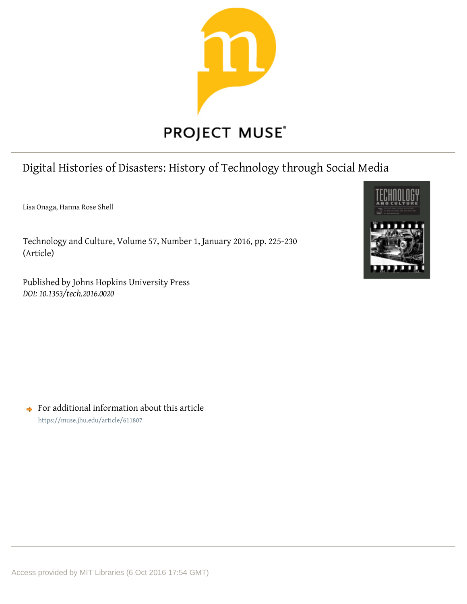

# Digital Histories of Disasters: History of Technology through Social Media

Lisa Onaga, Hanna Rose Shell

Technology and Culture, Volume 57, Number 1, January 2016, pp. 225-230 (Article)

Published by Johns Hopkins University Press DOI: 10.1353/tech.2016.0020



 $\rightarrow$  For additional information about this article https://muse.jhu.edu/article/611807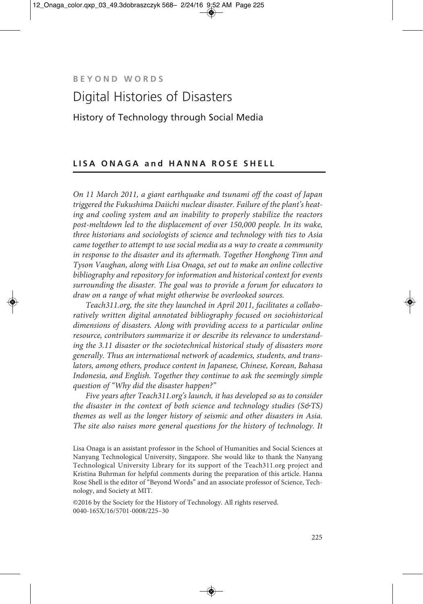# Digital Histories of Disasters

# History of Technology through Social Media

# **LISA ONAGA and HANNA ROSE SHELL**

On 11 March 2011, a giant earthquake and tsunami off the coast of Japan triggered the Fukushima Daiichi nuclear disaster. Failure of the plant's heating and cooling system and an inability to properly stabilize the reactors post-meltdown led to the displacement of over 150,000 people. In its wake, three historians and sociologists of science and technology with ties to Asia came together to attempt to use social media as a way to create a community in response to the disaster and its aftermath. Together Honghong Tinn and Tyson Vaughan, along with Lisa Onaga, set out to make an online collective bibliography and repository for information and historical context for events surrounding the disaster. The goal was to provide a forum for educators to draw on a range of what might otherwise be overlooked sources.

Teach311.org, the site they launched in April 2011, facilitates a collaboratively written digital annotated bibliography focused on sociohistorical dimensions of disasters. Along with providing access to a particular online resource, contributors summarize it or describe its relevance to understanding the 3.11 disaster or the sociotechnical historical study of disasters more generally. Thus an international network of academics, students, and translators, among others, produce content in Japanese, Chinese, Korean, Bahasa Indonesia, and English. Together they continue to ask the seemingly simple question of "Why did the disaster happen?"

Five years after Teach311.org's launch, it has developed so as to consider the disaster in the context of both science and technology studies ( $S\ll TS$ ) themes as well as the longer history of seismic and other disasters in Asia. The site also raises more general questions for the history of technology. It

Lisa Onaga is an assistant professor in the School of Humanities and Social Sciences at Nanyang Technological University, Singapore. She would like to thank the Nanyang Technological University Library for its support of the Teach311.org project and Kristina Buhrman for helpful comments during the preparation of this article. Hanna Rose Shell is the editor of "Beyond Words" and an associate professor of Science, Technology, and Society at MIT.

©2016 by the Society for the History of Technology. All rights reserved. 0040-165X/16/5701-0008/225–30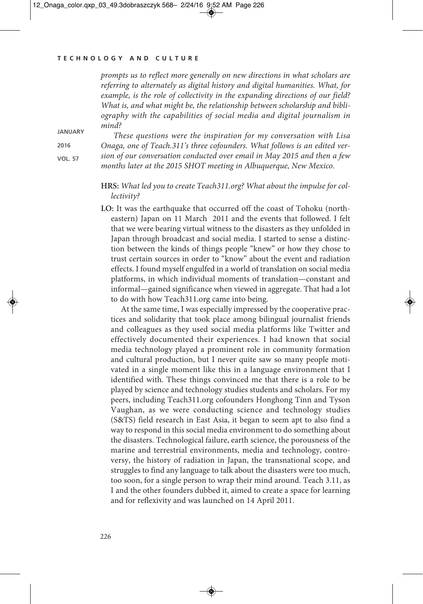#### **T E C H N O L O G Y A N D C U L T U R E**

prompts us to reflect more generally on new directions in what scholars are referring to alternately as digital history and digital humanities. What, for example, is the role of collectivity in the expanding directions of our field? What is, and what might be, the relationship between scholarship and bibliography with the capabilities of social media and digital journalism in mind?

These questions were the inspiration for my conversation with Lisa Onaga, one of Teach.311's three cofounders. What follows is an edited version of our conversation conducted over email in May 2015 and then a few months later at the 2015 SHOT meeting in Albuquerque, New Mexico.

**HRS:** What led you to create Teach311.org? What about the impulse for collectivity?

**LO:** It was the earthquake that occurred off the coast of Tohoku (northeastern) Japan on 11 March 2011 and the events that followed. I felt that we were bearing virtual witness to the disasters as they unfolded in Japan through broadcast and social media. I started to sense a distinction between the kinds of things people "knew" or how they chose to trust certain sources in order to "know" about the event and radiation effects. I found myself engulfed in a world of translation on social media platforms, in which individual moments of translation—constant and informal—gained significance when viewed in aggregate. That had a lot to do with how Teach311.org came into being.

At the same time, I was especially impressed by the cooperative practices and solidarity that took place among bilingual journalist friends and colleagues as they used social media platforms like Twitter and effectively documented their experiences. I had known that social media technology played a prominent role in community formation and cultural production, but I never quite saw so many people motivated in a single moment like this in a language environment that I identified with. These things convinced me that there is a role to be played by science and technology studies students and scholars. For my peers, including Teach311.org cofounders Honghong Tinn and Tyson Vaughan, as we were conducting science and technology studies (S&TS) field research in East Asia, it began to seem apt to also find a way to respond in this social media environment to do something about the disasters. Technological failure, earth science, the porousness of the marine and terrestrial environments, media and technology, controversy, the history of radiation in Japan, the transnational scope, and struggles to find any language to talk about the disasters were too much, too soon, for a single person to wrap their mind around. Teach 3.11, as I and the other founders dubbed it, aimed to create a space for learning and for reflexivity and was launched on 14 April 2011.

2016

VOL. 57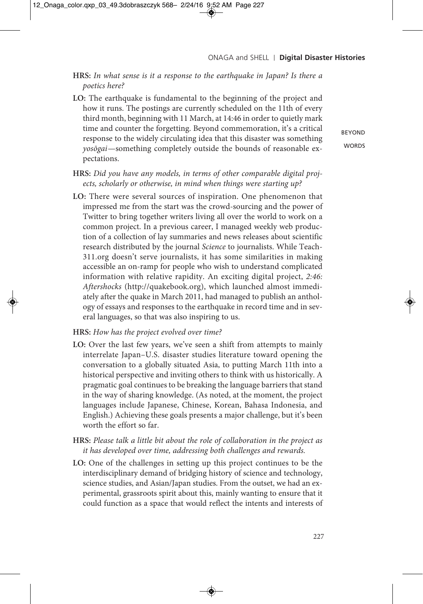- **HRS:** In what sense is it a response to the earthquake in Japan? Is there a poetics here?
- **LO:** The earthquake is fundamental to the beginning of the project and how it runs. The postings are currently scheduled on the 11th of every third month, beginning with 11 March, at 14:46 in order to quietly mark time and counter the forgetting. Beyond commemoration, it's a critical response to the widely circulating idea that this disaster was something yosōgai—something completely outside the bounds of reasonable expectations.

BEYOND **WORDS** 

- **HRS:** Did you have any models, in terms of other comparable digital projects, scholarly or otherwise, in mind when things were starting up?
- **LO:** There were several sources of inspiration. One phenomenon that impressed me from the start was the crowd-sourcing and the power of Twitter to bring together writers living all over the world to work on a common project. In a previous career, I managed weekly web production of a collection of lay summaries and news releases about scientific research distributed by the journal Science to journalists. While Teach-311.org doesn't serve journalists, it has some similarities in making accessible an on-ramp for people who wish to understand complicated information with relative rapidity. An exciting digital project, 2:46: Aftershocks (http://quakebook.org), which launched almost immediately after the quake in March 2011, had managed to publish an anthology of essays and responses to the earthquake in record time and in several languages, so that was also inspiring to us.

# **HRS:** How has the project evolved over time?

- **LO:** Over the last few years, we've seen a shift from attempts to mainly interrelate Japan–U.S. disaster studies literature toward opening the conversation to a globally situated Asia, to putting March 11th into a historical perspective and inviting others to think with us historically. A pragmatic goal continues to be breaking the language barriers that stand in the way of sharing knowledge. (As noted, at the moment, the project languages include Japanese, Chinese, Korean, Bahasa Indonesia, and English.) Achieving these goals presents a major challenge, but it's been worth the effort so far.
- **HRS:** Please talk a little bit about the role of collaboration in the project as it has developed over time, addressing both challenges and rewards.
- **LO:** One of the challenges in setting up this project continues to be the interdisciplinary demand of bridging history of science and technology, science studies, and Asian/Japan studies. From the outset, we had an experimental, grassroots spirit about this, mainly wanting to ensure that it could function as a space that would reflect the intents and interests of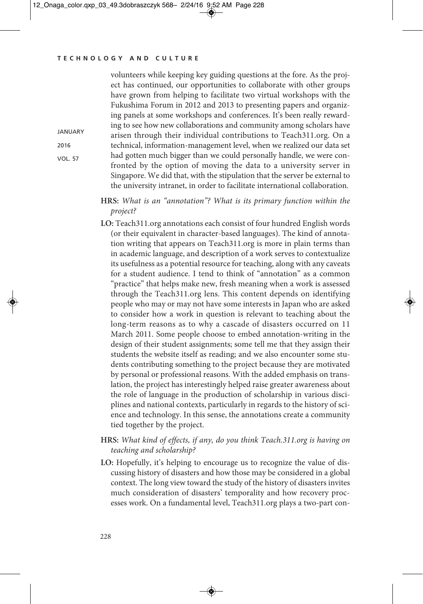volunteers while keeping key guiding questions at the fore. As the project has continued, our opportunities to collaborate with other groups have grown from helping to facilitate two virtual workshops with the Fukushima Forum in 2012 and 2013 to presenting papers and organizing panels at some workshops and conferences. It's been really rewarding to see how new collaborations and community among scholars have arisen through their individual contributions to Teach311.org. On a technical, information-management level, when we realized our data set had gotten much bigger than we could personally handle, we were confronted by the option of moving the data to a university server in Singapore. We did that, with the stipulation that the server be external to the university intranet, in order to facilitate international collaboration.

- **HRS:** What is an "annotation"? What is its primary function within the project?
- **LO:** Teach311.org annotations each consist of four hundred English words (or their equivalent in character-based languages). The kind of annotation writing that appears on Teach311.org is more in plain terms than in academic language, and description of a work serves to contextualize its usefulness as a potential resource for teaching, along with any caveats for a student audience. I tend to think of "annotation" as a common "practice" that helps make new, fresh meaning when a work is assessed through the Teach311.org lens. This content depends on identifying people who may or may not have some interests in Japan who are asked to consider how a work in question is relevant to teaching about the long-term reasons as to why a cascade of disasters occurred on 11 March 2011. Some people choose to embed annotation-writing in the design of their student assignments; some tell me that they assign their students the website itself as reading; and we also encounter some students contributing something to the project because they are motivated by personal or professional reasons. With the added emphasis on translation, the project has interestingly helped raise greater awareness about the role of language in the production of scholarship in various disciplines and national contexts, particularly in regards to the history of science and technology. In this sense, the annotations create a community tied together by the project.
- **HRS:** What kind of effects, if any, do you think Teach.311.org is having on teaching and scholarship?
- **LO:** Hopefully, it's helping to encourage us to recognize the value of discussing history of disasters and how those may be considered in a global context. The long view toward the study of the history of disasters invites much consideration of disasters' temporality and how recovery processes work. On a fundamental level, Teach311.org plays a two-part con-

2016

VOL. 57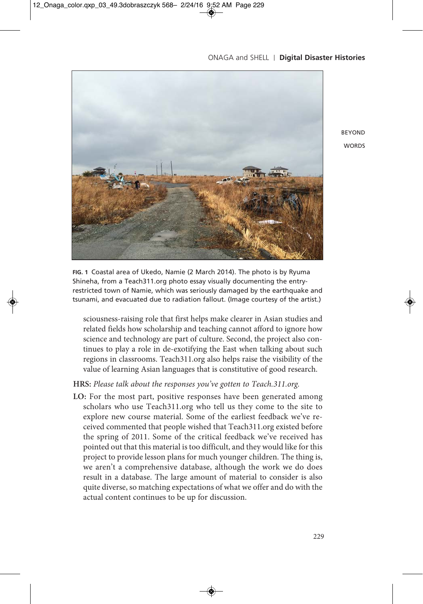

BEYOND **WORDS** 

**FIG. 1** Coastal area of Ukedo, Namie (2 March 2014). The photo is by Ryuma Shineha, from a Teach311.org photo essay visually documenting the entryrestricted town of Namie, which was seriously damaged by the earthquake and tsunami, and evacuated due to radiation fallout. (Image courtesy of the artist.)

sciousness-raising role that first helps make clearer in Asian studies and related fields how scholarship and teaching cannot afford to ignore how science and technology are part of culture. Second, the project also continues to play a role in de-exotifying the East when talking about such regions in classrooms. Teach311.org also helps raise the visibility of the value of learning Asian languages that is constitutive of good research.

- **HRS:** Please talk about the responses you've gotten to Teach.311.org.
- **LO:** For the most part, positive responses have been generated among scholars who use Teach311.org who tell us they come to the site to explore new course material. Some of the earliest feedback we've received commented that people wished that Teach311.org existed before the spring of 2011. Some of the critical feedback we've received has pointed out that this material is too difficult, and they would like for this project to provide lesson plans for much younger children. The thing is, we aren't a comprehensive database, although the work we do does result in a database. The large amount of material to consider is also quite diverse, so matching expectations of what we offer and do with the actual content continues to be up for discussion.